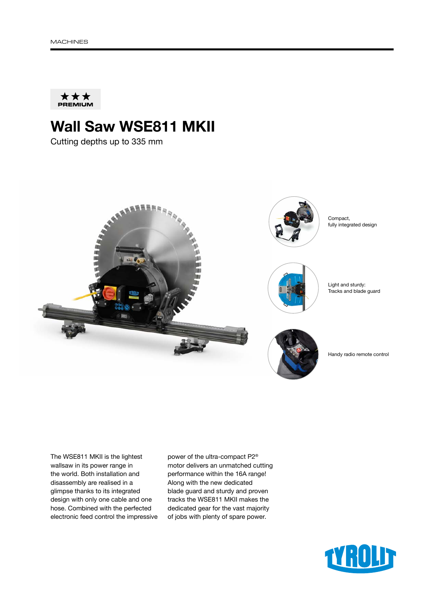

# Wall Saw WSE811 MKII

Cutting depths up to 335 mm



The WSE811 MKII is the lightest wallsaw in its power range in the world. Both installation and disassembly are realised in a glimpse thanks to its integrated design with only one cable and one hose. Combined with the perfected electronic feed control the impressive power of the ultra-compact P2® motor delivers an unmatched cutting performance within the 16A range! Along with the new dedicated blade guard and sturdy and proven tracks the WSE811 MKII makes the dedicated gear for the vast majority of jobs with plenty of spare power.